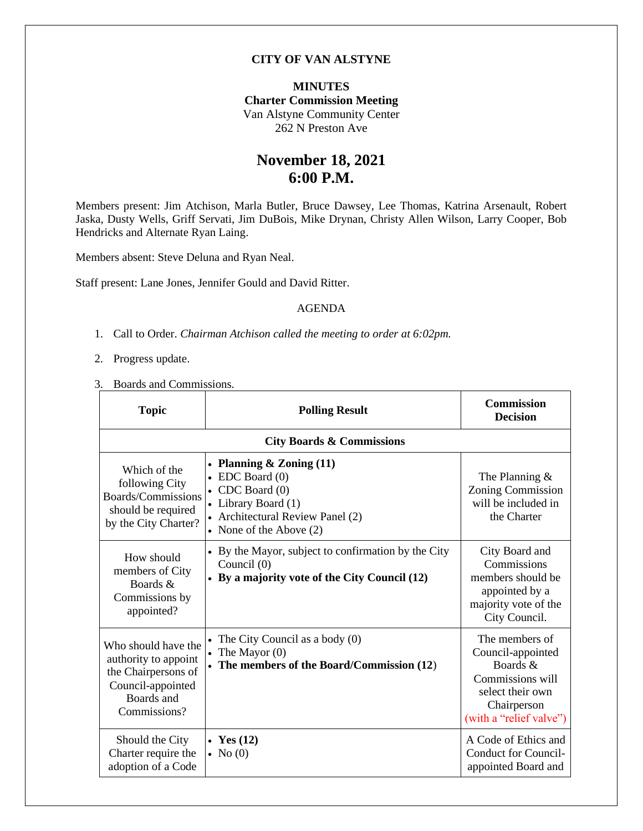## **CITY OF VAN ALSTYNE**

### **MINUTES Charter Commission Meeting** Van Alstyne Community Center 262 N Preston Ave

# **November 18, 2021 6:00 P.M.**

Members present: Jim Atchison, Marla Butler, Bruce Dawsey, Lee Thomas, Katrina Arsenault, Robert Jaska, Dusty Wells, Griff Servati, Jim DuBois, Mike Drynan, Christy Allen Wilson, Larry Cooper, Bob Hendricks and Alternate Ryan Laing.

Members absent: Steve Deluna and Ryan Neal.

Staff present: Lane Jones, Jennifer Gould and David Ritter.

#### AGENDA

- 1. Call to Order. *Chairman Atchison called the meeting to order at 6:02pm.*
- 2. Progress update.
- 3. Boards and Commissions.

| <b>Topic</b>                                                                                                          | <b>Polling Result</b>                                                                                                                                                    | <b>Commission</b><br><b>Decision</b>                                                                                              |  |  |
|-----------------------------------------------------------------------------------------------------------------------|--------------------------------------------------------------------------------------------------------------------------------------------------------------------------|-----------------------------------------------------------------------------------------------------------------------------------|--|--|
| <b>City Boards &amp; Commissions</b>                                                                                  |                                                                                                                                                                          |                                                                                                                                   |  |  |
| Which of the<br>following City<br>Boards/Commissions<br>should be required<br>by the City Charter?                    | Planning $\&$ Zoning (11)<br>$\bullet$<br>EDC Board (0)<br>$\bullet$ CDC Board $(0)$<br>Library Board (1)<br>• Architectural Review Panel (2)<br>None of the Above $(2)$ | The Planning $&$<br><b>Zoning Commission</b><br>will be included in<br>the Charter                                                |  |  |
| How should<br>members of City<br>Boards &<br>Commissions by<br>appointed?                                             | By the Mayor, subject to confirmation by the City<br>Council $(0)$<br>• By a majority vote of the City Council $(12)$                                                    | City Board and<br>Commissions<br>members should be<br>appointed by a<br>majority vote of the<br>City Council.                     |  |  |
| Who should have the<br>authority to appoint<br>the Chairpersons of<br>Council-appointed<br>Boards and<br>Commissions? | The City Council as a body (0)<br>The Mayor $(0)$<br>The members of the Board/Commission (12)                                                                            | The members of<br>Council-appointed<br>Boards &<br>Commissions will<br>select their own<br>Chairperson<br>(with a "relief valve") |  |  |
| Should the City<br>Charter require the<br>adoption of a Code                                                          | • Yes $(12)$<br>$\bullet$ No (0)                                                                                                                                         | A Code of Ethics and<br><b>Conduct for Council-</b><br>appointed Board and                                                        |  |  |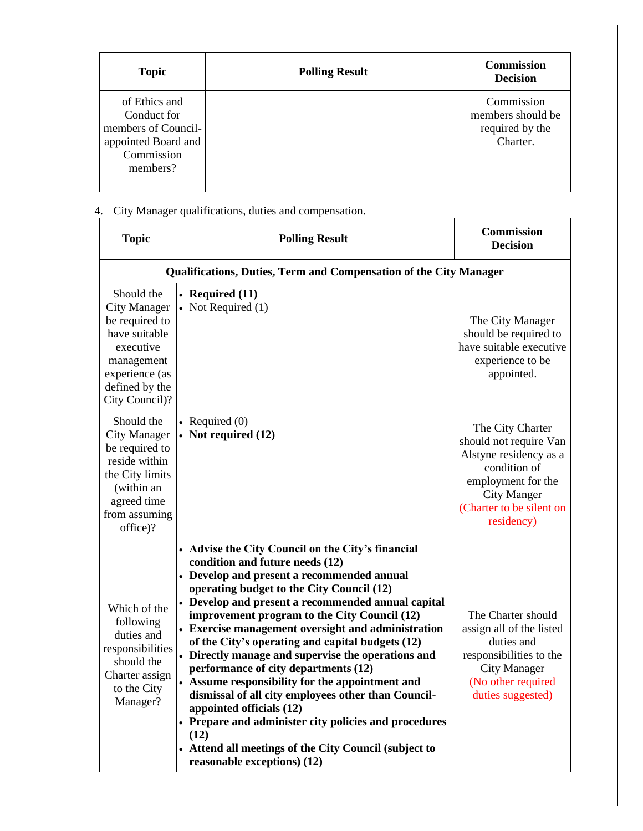| <b>Topic</b>                                                                                         | <b>Polling Result</b> | <b>Commission</b><br><b>Decision</b>                           |
|------------------------------------------------------------------------------------------------------|-----------------------|----------------------------------------------------------------|
| of Ethics and<br>Conduct for<br>members of Council-<br>appointed Board and<br>Commission<br>members? |                       | Commission<br>members should be<br>required by the<br>Charter. |

# 4. City Manager qualifications, duties and compensation.

| <b>Topic</b>                                                                                                                                          | <b>Polling Result</b>                                                                                                                                                                                                                                                                                                                                                                                                                                                                                                                                                                                                                                                                                                                                                                      | <b>Commission</b><br><b>Decision</b>                                                                                                                                       |  |
|-------------------------------------------------------------------------------------------------------------------------------------------------------|--------------------------------------------------------------------------------------------------------------------------------------------------------------------------------------------------------------------------------------------------------------------------------------------------------------------------------------------------------------------------------------------------------------------------------------------------------------------------------------------------------------------------------------------------------------------------------------------------------------------------------------------------------------------------------------------------------------------------------------------------------------------------------------------|----------------------------------------------------------------------------------------------------------------------------------------------------------------------------|--|
| <b>Qualifications, Duties, Term and Compensation of the City Manager</b>                                                                              |                                                                                                                                                                                                                                                                                                                                                                                                                                                                                                                                                                                                                                                                                                                                                                                            |                                                                                                                                                                            |  |
| Should the<br><b>City Manager</b><br>be required to<br>have suitable<br>executive<br>management<br>experience (as<br>defined by the<br>City Council)? | • Required $(11)$<br>• Not Required $(1)$                                                                                                                                                                                                                                                                                                                                                                                                                                                                                                                                                                                                                                                                                                                                                  | The City Manager<br>should be required to<br>have suitable executive<br>experience to be<br>appointed.                                                                     |  |
| Should the<br><b>City Manager</b><br>be required to<br>reside within<br>the City limits<br>(within an<br>agreed time<br>from assuming<br>office)?     | • Required $(0)$<br>• Not required $(12)$                                                                                                                                                                                                                                                                                                                                                                                                                                                                                                                                                                                                                                                                                                                                                  | The City Charter<br>should not require Van<br>Alstyne residency as a<br>condition of<br>employment for the<br><b>City Manger</b><br>(Charter to be silent on<br>residency) |  |
| Which of the<br>following<br>duties and<br>responsibilities<br>should the<br>Charter assign<br>to the City<br>Manager?                                | • Advise the City Council on the City's financial<br>condition and future needs (12)<br>• Develop and present a recommended annual<br>operating budget to the City Council (12)<br>• Develop and present a recommended annual capital<br>improvement program to the City Council (12)<br>• Exercise management oversight and administration<br>of the City's operating and capital budgets (12)<br>• Directly manage and supervise the operations and<br>performance of city departments (12)<br>Assume responsibility for the appointment and<br>dismissal of all city employees other than Council-<br>appointed officials (12)<br>• Prepare and administer city policies and procedures<br>(12)<br>• Attend all meetings of the City Council (subject to<br>reasonable exceptions) (12) | The Charter should<br>assign all of the listed<br>duties and<br>responsibilities to the<br><b>City Manager</b><br>(No other required<br>duties suggested)                  |  |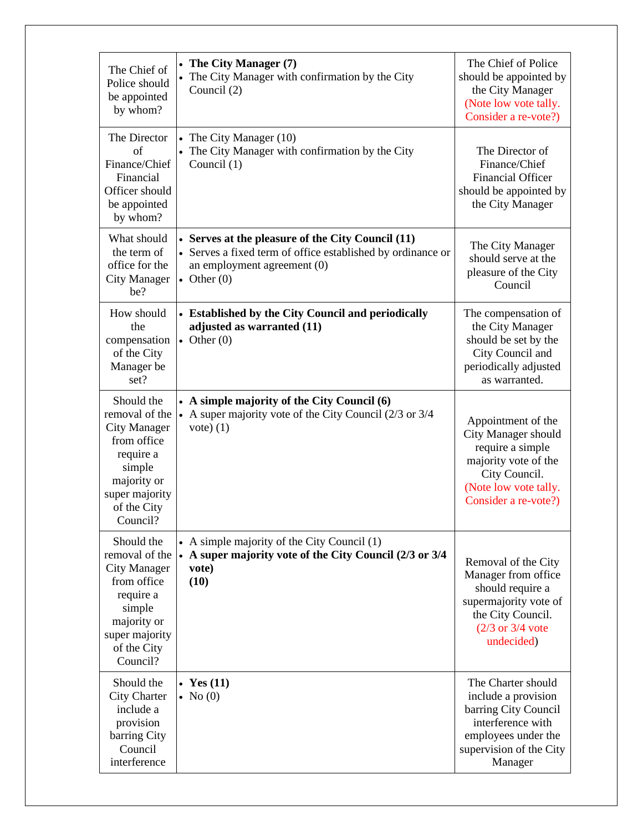| The Chief of<br>Police should<br>be appointed<br>by whom?                                                                                             | • The City Manager (7)<br>• The City Manager with confirmation by the City<br>Council (2)                                                                        | The Chief of Police<br>should be appointed by<br>the City Manager<br>(Note low vote tally.<br>Consider a re-vote?)                                                 |
|-------------------------------------------------------------------------------------------------------------------------------------------------------|------------------------------------------------------------------------------------------------------------------------------------------------------------------|--------------------------------------------------------------------------------------------------------------------------------------------------------------------|
| The Director<br>of<br>Finance/Chief<br>Financial<br>Officer should<br>be appointed<br>by whom?                                                        | The City Manager (10)<br>• The City Manager with confirmation by the City<br>Council (1)                                                                         | The Director of<br>Finance/Chief<br><b>Financial Officer</b><br>should be appointed by<br>the City Manager                                                         |
| What should<br>the term of<br>office for the<br><b>City Manager</b><br>be?                                                                            | • Serves at the pleasure of the City Council (11)<br>• Serves a fixed term of office established by ordinance or<br>an employment agreement (0)<br>• Other $(0)$ | The City Manager<br>should serve at the<br>pleasure of the City<br>Council                                                                                         |
| How should<br>the<br>compensation<br>of the City<br>Manager be<br>set?                                                                                | • Established by the City Council and periodically<br>adjusted as warranted (11)<br>• Other $(0)$                                                                | The compensation of<br>the City Manager<br>should be set by the<br>City Council and<br>periodically adjusted<br>as warranted.                                      |
| Should the<br>removal of the<br><b>City Manager</b><br>from office<br>require a<br>simple<br>majority or<br>super majority<br>of the City<br>Council? | • A simple majority of the City Council (6)<br>• A super majority vote of the City Council $(2/3 \text{ or } 3/4)$<br>vote) $(1)$                                | Appointment of the<br><b>City Manager should</b><br>require a simple<br>majority vote of the<br>City Council.<br>(Note low vote tally.<br>Consider a re-vote?)     |
| Should the<br>removal of the<br><b>City Manager</b><br>from office<br>require a<br>simple<br>majority or<br>super majority<br>of the City<br>Council? | • A simple majority of the City Council $(1)$<br>• A super majority vote of the City Council (2/3 or 3/4<br>vote)<br>(10)                                        | Removal of the City<br>Manager from office<br>should require a<br>supermajority vote of<br>the City Council.<br>$(2/3 \text{ or } 3/4 \text{ vote})$<br>undecided) |
| Should the<br><b>City Charter</b><br>include a<br>provision<br>barring City<br>Council<br>interference                                                | • Yes $(11)$<br>$\bullet$ No (0)                                                                                                                                 | The Charter should<br>include a provision<br>barring City Council<br>interference with<br>employees under the<br>supervision of the City<br>Manager                |